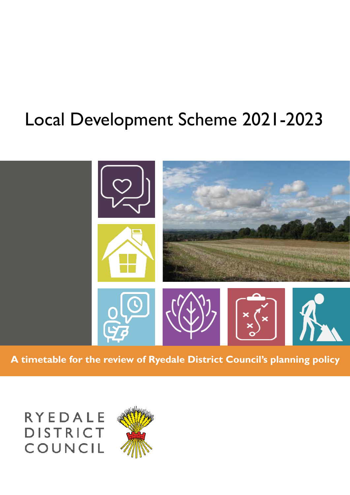# Local Development Scheme 2021-2023



**A timetable for the review of Ryedale District Council's planning policy**

RYEDALE **DISTRICT** COUNCIL

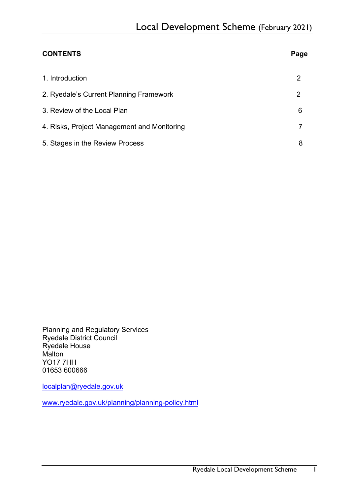| <b>CONTENTS</b>                             | Page |
|---------------------------------------------|------|
| 1. Introduction                             | 2    |
| 2. Ryedale's Current Planning Framework     | 2    |
| 3. Review of the Local Plan                 | 6    |
| 4. Risks, Project Management and Monitoring |      |
| 5. Stages in the Review Process             | 8    |

Planning and Regulatory Services Ryedale District Council Ryedale House **Malton** YO17 7HH 01653 600666

[localplan@ryedale.gov.uk](mailto:localplan@ryedale.gov.uk)

[www.ryedale.gov.uk/planning/planning-policy.html](http://www.ryedale.gov.uk/planning/planning-policy.html)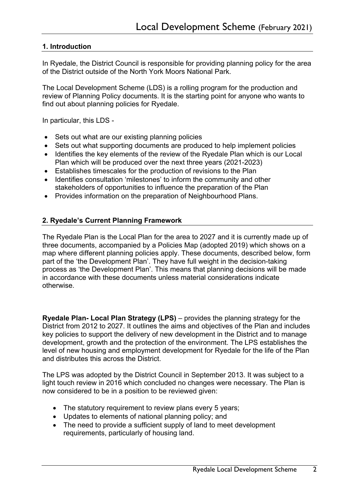# **1. Introduction**

In Ryedale, the District Council is responsible for providing planning policy for the area of the District outside of the North York Moors National Park.

The Local Development Scheme (LDS) is a rolling program for the production and review of Planning Policy documents. It is the starting point for anyone who wants to find out about planning policies for Ryedale.

In particular, this LDS -

- Sets out what are our existing planning policies
- Sets out what supporting documents are produced to help implement policies
- Identifies the key elements of the review of the Ryedale Plan which is our Local Plan which will be produced over the next three years (2021-2023)
- Establishes timescales for the production of revisions to the Plan
- Identifies consultation 'milestones' to inform the community and other stakeholders of opportunities to influence the preparation of the Plan
- Provides information on the preparation of Neighbourhood Plans.

# **2. Ryedale's Current Planning Framework**

The Ryedale Plan is the Local Plan for the area to 2027 and it is currently made up of three documents, accompanied by a Policies Map (adopted 2019) which shows on a map where different planning policies apply. These documents, described below, form part of the 'the Development Plan'. They have full weight in the decision-taking process as 'the Development Plan'. This means that planning decisions will be made in accordance with these documents unless material considerations indicate otherwise.

**Ryedale Plan- Local Plan Strategy (LPS)** – provides the planning strategy for the District from 2012 to 2027. It outlines the aims and objectives of the Plan and includes key policies to support the delivery of new development in the District and to manage development, growth and the protection of the environment. The LPS establishes the level of new housing and employment development for Ryedale for the life of the Plan and distributes this across the District.

The LPS was adopted by the District Council in September 2013. It was subject to a light touch review in 2016 which concluded no changes were necessary. The Plan is now considered to be in a position to be reviewed given:

- The statutory requirement to review plans every 5 years;
- Updates to elements of national planning policy; and
- The need to provide a sufficient supply of land to meet development requirements, particularly of housing land.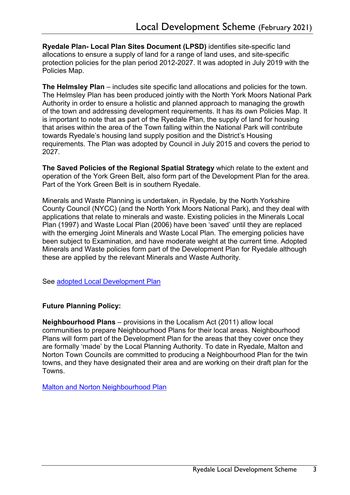**Ryedale Plan- Local Plan Sites Document (LPSD)** identifies site-specific land allocations to ensure a supply of land for a range of land uses, and site-specific protection policies for the plan period 2012-2027. It was adopted in July 2019 with the Policies Map.

**The Helmsley Plan** – includes site specific land allocations and policies for the town. The Helmsley Plan has been produced jointly with the North York Moors National Park Authority in order to ensure a holistic and planned approach to managing the growth of the town and addressing development requirements. It has its own Policies Map. It is important to note that as part of the Ryedale Plan, the supply of land for housing that arises within the area of the Town falling within the National Park will contribute towards Ryedale's housing land supply position and the District's Housing requirements. The Plan was adopted by Council in July 2015 and covers the period to 2027.

**The Saved Policies of the Regional Spatial Strategy** which relate to the extent and operation of the York Green Belt, also form part of the Development Plan for the area. Part of the York Green Belt is in southern Ryedale.

Minerals and Waste Planning is undertaken, in Ryedale, by the North Yorkshire County Council (NYCC) (and the North York Moors National Park), and they deal with applications that relate to minerals and waste. Existing policies in the Minerals Local Plan (1997) and Waste Local Plan (2006) have been 'saved' until they are replaced with the emerging Joint Minerals and Waste Local Plan. The emerging policies have been subject to Examination, and have moderate weight at the current time. Adopted Minerals and Waste policies form part of the Development Plan for Ryedale although these are applied by the relevant Minerals and Waste Authority.

See [adopted Local Development Plan](https://www.ryedale.gov.uk/planning/planning-policy/adopted-local-development-plan.html) 

### **Future Planning Policy:**

**Neighbourhood Plans** – provisions in the Localism Act (2011) allow local communities to prepare Neighbourhood Plans for their local areas. Neighbourhood Plans will form part of the Development Plan for the areas that they cover once they are formally 'made' by the Local Planning Authority. To date in Ryedale, Malton and Norton Town Councils are committed to producing a Neighbourhood Plan for the twin towns, and they have designated their area and are working on their draft plan for the Towns.

[Malton and Norton Neighbourhood Plan](https://www.ryedale.gov.uk/planning/planning-policy/neighbourhood-plans/malton-and-norton-neighbourhood-plan.html)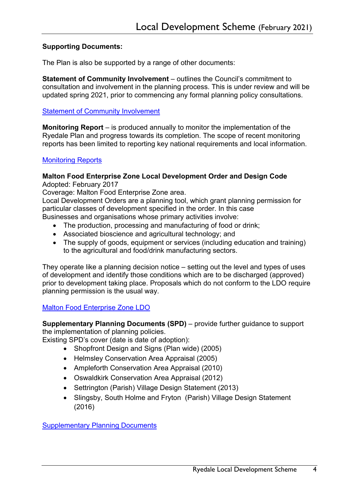# **Supporting Documents:**

The Plan is also be supported by a range of other documents:

**Statement of Community Involvement** – outlines the Council's commitment to consultation and involvement in the planning process. This is under review and will be updated spring 2021, prior to commencing any formal planning policy consultations.

#### [Statement of Community Involvement](https://www.ryedale.gov.uk/planning/planning-policy/supporting-documents/statement-of-community-involvement.html)

**Monitoring Report** – is produced annually to monitor the implementation of the Ryedale Plan and progress towards its completion. The scope of recent monitoring reports has been limited to reporting key national requirements and local information.

#### [Monitoring Reports](https://www.ryedale.gov.uk/planning/planning-policy/supporting-documents/monitoring-reports.html)

#### **Malton Food Enterprise Zone Local Development Order and Design Code** Adopted: February 2017

Coverage: Malton Food Enterprise Zone area.

Local Development Orders are a planning tool, which grant planning permission for particular classes of development specified in the order. In this case Businesses and organisations whose primary activities involve:

- The production, processing and manufacturing of food or drink;
- Associated bioscience and agricultural technology; and
- The supply of goods, equipment or services (including education and training) to the agricultural and food/drink manufacturing sectors.

They operate like a planning decision notice – setting out the level and types of uses of development and identify those conditions which are to be discharged (approved) prior to development taking place. Proposals which do not conform to the LDO require planning permission is the usual way.

### [Malton Food Enterprise Zone LDO](https://www.ryedale.gov.uk/planning/planning-policy/supporting-documents/malton-food-enterprise-zone.html)

**Supplementary Planning Documents (SPD)** – provide further guidance to support the implementation of planning policies.

Existing SPD's cover (date is date of adoption):

- Shopfront Design and Signs (Plan wide) (2005)
- Helmsley Conservation Area Appraisal (2005)
- Ampleforth Conservation Area Appraisal (2010)
- Oswaldkirk Conservation Area Appraisal (2012)
- Settrington (Parish) Village Design Statement (2013)
- Slingsby, South Holme and Fryton (Parish) Village Design Statement (2016)

[Supplementary Planning Documents](https://www.ryedale.gov.uk/planning/planning-policy/supporting-documents/supplementary-planning-documents-and-guidance.html)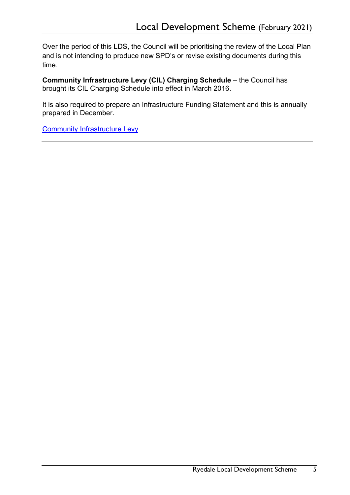Over the period of this LDS, the Council will be prioritising the review of the Local Plan and is not intending to produce new SPD's or revise existing documents during this time.

**Community Infrastructure Levy (CIL) Charging Schedule** – the Council has brought its CIL Charging Schedule into effect in March 2016.

It is also required to prepare an Infrastructure Funding Statement and this is annually prepared in December.

[Community Infrastructure Levy](https://www.ryedale.gov.uk/planning/planning-applications/community-infrastructure-levy-cil.html)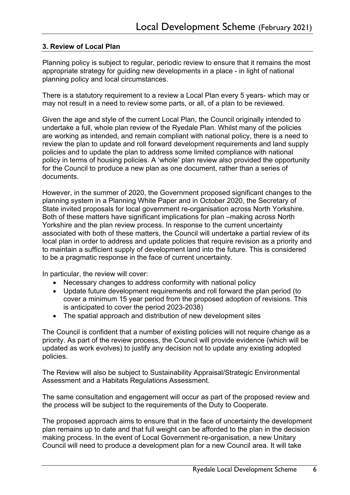## **3. Review of Local Plan**

Planning policy is subject to regular, periodic review to ensure that it remains the most appropriate strategy for guiding new developments in a place - in light of national planning policy and local circumstances.

There is a statutory requirement to a review a Local Plan every 5 years- which may or may not result in a need to review some parts, or all, of a plan to be reviewed.

Given the age and style of the current Local Plan, the Council originally intended to undertake a full, whole plan review of the Ryedale Plan. Whilst many of the policies are working as intended, and remain compliant with national policy, there is a need to review the plan to update and roll forward development requirements and land supply policies and to update the plan to address some limited compliance with national policy in terms of housing policies. A 'whole' plan review also provided the opportunity for the Council to produce a new plan as one document, rather than a series of documents.

However, in the summer of 2020, the Government proposed significant changes to the planning system in a Planning White Paper and in October 2020, the Secretary of State invited proposals for local government re-organisation across North Yorkshire. Both of these matters have significant implications for plan –making across North Yorkshire and the plan review process. In response to the current uncertainty associated with both of these matters, the Council will undertake a partial review of its local plan in order to address and update policies that require revision as a priority and to maintain a sufficient supply of development land into the future. This is considered to be a pragmatic response in the face of current uncertainty.

In particular, the review will cover:

- Necessary changes to address conformity with national policy
- Update future development requirements and roll forward the plan period (to cover a minimum 15 year period from the proposed adoption of revisions. This is anticipated to cover the period 2023-2038)
- The spatial approach and distribution of new development sites

The Council is confident that a number of existing policies will not require change as a priority. As part of the review process, the Council will provide evidence (which will be updated as work evolves) to justify any decision not to update any existing adopted policies.

The Review will also be subject to Sustainability Appraisal/Strategic Environmental Assessment and a Habitats Regulations Assessment.

The same consultation and engagement will occur as part of the proposed review and the process will be subject to the requirements of the Duty to Cooperate.

The proposed approach aims to ensure that in the face of uncertainty the development plan remains up to date and that full weight can be afforded to the plan in the decision making process. In the event of Local Government re-organisation, a new Unitary Council will need to produce a development plan for a new Council area. It will take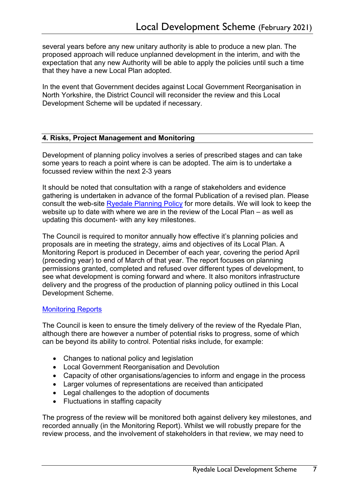several years before any new unitary authority is able to produce a new plan. The proposed approach will reduce unplanned development in the interim, and with the expectation that any new Authority will be able to apply the policies until such a time that they have a new Local Plan adopted.

In the event that Government decides against Local Government Reorganisation in North Yorkshire, the District Council will reconsider the review and this Local Development Scheme will be updated if necessary.

### **4. Risks, Project Management and Monitoring**

Development of planning policy involves a series of prescribed stages and can take some years to reach a point where is can be adopted. The aim is to undertake a focussed review within the next 2-3 years

It should be noted that consultation with a range of stakeholders and evidence gathering is undertaken in advance of the formal Publication of a revised plan. Please consult the web-site [Ryedale Planning Policy](https://www.ryedale.gov.uk/planning/planning-policy.html) for more details. We will look to keep the website up to date with where we are in the review of the Local Plan – as well as updating this document- with any key milestones.

The Council is required to monitor annually how effective it's planning policies and proposals are in meeting the strategy, aims and objectives of its Local Plan. A Monitoring Report is produced in December of each year, covering the period April (preceding year) to end of March of that year. The report focuses on planning permissions granted, completed and refused over different types of development, to see what development is coming forward and where. It also monitors infrastructure delivery and the progress of the production of planning policy outlined in this Local Development Scheme.

### [Monitoring Reports](https://www.ryedale.gov.uk/planning/planning-policy/supporting-documents/monitoring-reports.html)

The Council is keen to ensure the timely delivery of the review of the Ryedale Plan, although there are however a number of potential risks to progress, some of which can be beyond its ability to control. Potential risks include, for example:

- Changes to national policy and legislation
- Local Government Reorganisation and Devolution
- Capacity of other organisations/agencies to inform and engage in the process
- Larger volumes of representations are received than anticipated
- Legal challenges to the adoption of documents
- Fluctuations in staffing capacity

The progress of the review will be monitored both against delivery key milestones, and recorded annually (in the Monitoring Report). Whilst we will robustly prepare for the review process, and the involvement of stakeholders in that review, we may need to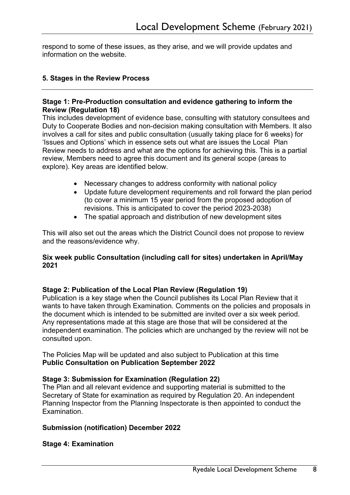respond to some of these issues, as they arise, and we will provide updates and information on the website.

#### **5. Stages in the Review Process**

#### **Stage 1: Pre-Production consultation and evidence gathering to inform the Review (Regulation 18)**

This includes development of evidence base, consulting with statutory consultees and Duty to Cooperate Bodies and non-decision making consultation with Members. It also involves a call for sites and public consultation (usually taking place for 6 weeks) for 'Issues and Options' which in essence sets out what are issues the Local Plan Review needs to address and what are the options for achieving this. This is a partial review, Members need to agree this document and its general scope (areas to explore). Key areas are identified below.

- Necessary changes to address conformity with national policy
- Update future development requirements and roll forward the plan period (to cover a minimum 15 year period from the proposed adoption of revisions. This is anticipated to cover the period 2023-2038)
- The spatial approach and distribution of new development sites

This will also set out the areas which the District Council does not propose to review and the reasons/evidence why.

#### **Six week public Consultation (including call for sites) undertaken in April/May 2021**

#### **Stage 2: Publication of the Local Plan Review (Regulation 19)**

Publication is a key stage when the Council publishes its Local Plan Review that it wants to have taken through Examination. Comments on the policies and proposals in the document which is intended to be submitted are invited over a six week period. Any representations made at this stage are those that will be considered at the independent examination. The policies which are unchanged by the review will not be consulted upon.

The Policies Map will be updated and also subject to Publication at this time **Public Consultation on Publication September 2022**

#### **Stage 3: Submission for Examination (Regulation 22)**

The Plan and all relevant evidence and supporting material is submitted to the Secretary of State for examination as required by Regulation 20. An independent Planning Inspector from the Planning Inspectorate is then appointed to conduct the Examination.

### **Submission (notification) December 2022**

#### **Stage 4: Examination**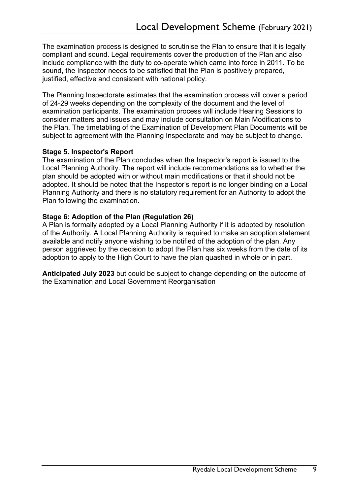The examination process is designed to scrutinise the Plan to ensure that it is legally compliant and sound. Legal requirements cover the production of the Plan and also include compliance with the duty to co-operate which came into force in 2011. To be sound, the Inspector needs to be satisfied that the Plan is positively prepared, justified, effective and consistent with national policy.

The Planning Inspectorate estimates that the examination process will cover a period of 24-29 weeks depending on the complexity of the document and the level of examination participants. The examination process will include Hearing Sessions to consider matters and issues and may include consultation on Main Modifications to the Plan. The timetabling of the Examination of Development Plan Documents will be subject to agreement with the Planning Inspectorate and may be subject to change.

# **Stage 5. Inspector's Report**

The examination of the Plan concludes when the Inspector's report is issued to the Local Planning Authority. The report will include recommendations as to whether the plan should be adopted with or without main modifications or that it should not be adopted. It should be noted that the Inspector's report is no longer binding on a Local Planning Authority and there is no statutory requirement for an Authority to adopt the Plan following the examination.

# **Stage 6: Adoption of the Plan (Regulation 26)**

A Plan is formally adopted by a Local Planning Authority if it is adopted by resolution of the Authority. A Local Planning Authority is required to make an adoption statement available and notify anyone wishing to be notified of the adoption of the plan. Any person aggrieved by the decision to adopt the Plan has six weeks from the date of its adoption to apply to the High Court to have the plan quashed in whole or in part.

**Anticipated July 2023** but could be subject to change depending on the outcome of the Examination and Local Government Reorganisation